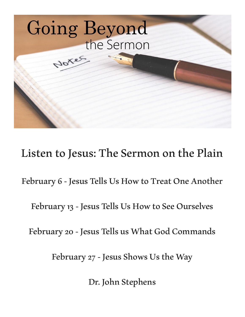

Listen to Jesus: The Sermon on the Plain

February 6 - Jesus Tells Us How to Treat One Another

February 13 - Jesus Tells Us How to See Ourselves

February 20 - Jesus Tells us What God Commands

February 27 - Jesus Shows Us the Way

Dr. John Stephens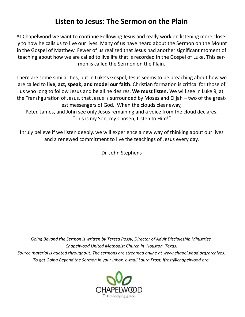# **Listen to Jesus: The Sermon on the Plain**

At Chapelwood we want to continue Following Jesus and really work on listening more closely to how he calls us to live our lives. Many of us have heard about the Sermon on the Mount in the Gospel of Matthew. Fewer of us realized that Jesus had another significant moment of teaching about how we are called to live life that is recorded in the Gospel of Luke. This sermon is called the Sermon on the Plain.

There are some similarities, but in Luke's Gospel, Jesus seems to be preaching about how we are called to **live, act, speak, and model our faith**. Christian formation is critical for those of us who long to follow Jesus and be all he desires. **We must listen.** We will see in Luke 9, at the Transfiguration of Jesus, that Jesus is surrounded by Moses and Elijah – two of the greatest messengers of God. When the clouds clear away,

Peter, James, and John see only Jesus remaining and a voice from the cloud declares, "This is my Son, my Chosen; Listen to Him!"

I truly believe if we listen deeply, we will experience a new way of thinking about our lives and a renewed commitment to live the teachings of Jesus every day.

Dr. John Stephens

*Going Beyond the Sermon is written by Teresa Rossy, Director of Adult Discipleship Ministries, Chapelwood United Methodist Church in Houston, Texas. Source material is quoted throughout. The sermons are streamed online at www.chapelwood.org/archives. To get Going Beyond the Sermon in your inbox, e-mail Laura Frost, lfrost@chapelwood.org.*

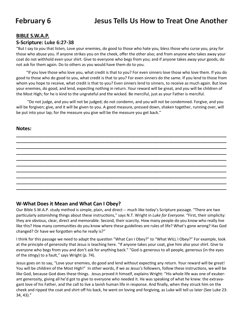# **February 6 Jesus Tells Us How to Treat One Another**

### **BIBLE S.W.A.P.**

### **S-Scripture: Luke 6:27-38**

"But I say to you that listen, Love your enemies, do good to those who hate you, bless those who curse you, pray for those who abuse you. If anyone strikes you on the cheek, offer the other also; and from anyone who takes away your coat do not withhold even your shirt. Give to everyone who begs from you; and if anyone takes away your goods, do not ask for them again. Do to others as you would have them do to you.

 "If you love those who love you, what credit is that to you? For even sinners love those who love them. If you do good to those who do good to you, what credit is that to you? For even sinners do the same. If you lend to those from whom you hope to receive, what credit is that to you? Even sinners lend to sinners, to receive as much again. But love your enemies, do good, and lend, expecting nothing in return. Your reward will be great, and you will be children of the Most High; for he is kind to the ungrateful and the wicked. Be merciful, just as your Father is merciful.

 "Do not judge, and you will not be judged; do not condemn, and you will not be condemned. Forgive, and you will be forgiven; give, and it will be given to you. A good measure, pressed down, shaken together, running over, will be put into your lap; for the measure you give will be the measure you get back."

### **Notes:**



## **W-What Does it Mean and What Can I Obey?**

Our Bible S.W.A.P. study method is simple, plain, and direct -- much like today's Scripture passage. "There are two particularly astonishing things about these instructions," says N.T. Wright in *Luke for Everyone.* "First, their simplicity: they are obvious, clear, direct and memorable. Second, their scarcity. How many people do you know who really live like this? How many communities do you know where these guidelines are rules of life? What's gone wrong? Has God changed? Or have we forgotten who he really is?"

I think for this passage we need to adapt the question "What Can I Obey?" to "What WILL I Obey?" For example, look at the principle of generosity that Jesus is teaching here. "If anyone takes your coat, give him also your shirt. Give to everyone who begs from you and don't ask for anything back." "God is generous to all people, generous (in the eyes of the stingy) to a fault," says Wright (p. 74).

Jesus goes on to say, "Love your enemies, do good and lend without expecting any return. Your reward will be great! You will be children of the Most High!" In other words, if we as Jesus's followers, follow these instructions, we will be like God, because God does these things. Jesus proved it himself, explains Wright: "His whole life was one of exuberant generosity, giving all he'd got to give to everyone who needed it. He was speaking of what he knew: the extravagant love of his Father, and the call to live a lavish human life in response. And finally, when they struck him on the cheek and ripped the coat and shirt off his back, he went on loving and forgiving, as Luke will tell us later (See Luke 23: 34, 43)."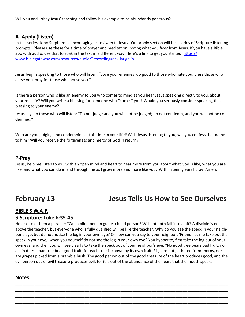Will you and I obey Jesus' teaching and follow his example to be abundantly generous?

# **A- Apply (Listen)**

In this series, John Stephens is encouraging us to *listen* to Jesus. Our Apply section will be a series of Scripture listening prompts. Please use these for a time of prayer and meditation, noting what you *hear* from Jesus. If you have a Bible app with audio, use that to soak in the text in a different way. Here's a link to get you started: [https://](https://www.biblegateway.com/resources/audio/?recording=esv-laughlin) [www.biblegateway.com/resources/audio/?recording=esv](https://www.biblegateway.com/resources/audio/?recording=esv-laughlin)-laughlin

Jesus begins speaking to those who will listen: "Love your enemies, do good to those who hate you, bless those who curse you, pray for those who abuse you."

Is there a person who is like an enemy to you who comes to mind as you hear Jesus speaking directly to you, about your real life? Will you write a blessing for someone who "curses" you? Would you seriously consider speaking that blessing to your enemy?

Jesus says to those who will listen: "Do not judge and you will not be judged; do not condemn, and you will not be condemned."

Who are you judging and condemning at this time in your life? With Jesus listening to you, will you confess that name to him? Will you receive the forgiveness and mercy of God in return?

### **P-Pray**

Jesus, help me listen to you with an open mind and heart to hear more from you about what God is like, what you are like, and what you can do in and through me as I grow more and more like you. With listening ears I pray, Amen.

# **February 13 Jesus Tells Us How to See Ourselves**

# **BIBLE S.W.A.P.**

**S-Scripture: Luke 6:39-45** He also told them a parable: "Can a blind person guide a blind person? Will not both fall into a pit? A disciple is not above the teacher, but everyone who is fully qualified will be like the teacher. Why do you see the speck in your neighbor's eye, but do not notice the log in your own eye? Or how can you say to your neighbor, 'Friend, let me take out the speck in your eye,' when you yourself do not see the log in your own eye? You hypocrite, first take the log out of your own eye, and then you will see clearly to take the speck out of your neighbor's eye. "No good tree bears bad fruit, nor again does a bad tree bear good fruit; for each tree is known by its own fruit. Figs are not gathered from thorns, nor are grapes picked from a bramble bush. The good person out of the good treasure of the heart produces good, and the evil person out of evil treasure produces evil; for it is out of the abundance of the heart that the mouth speaks.

**\_\_\_\_\_\_\_\_\_\_\_\_\_\_\_\_\_\_\_\_\_\_\_\_\_\_\_\_\_\_\_\_\_\_\_\_\_\_\_\_\_\_\_\_\_\_\_\_\_\_\_\_\_\_\_\_\_\_\_\_\_\_\_\_\_\_\_\_\_\_\_\_\_\_\_\_\_\_\_\_\_\_\_\_\_\_\_\_\_ \_\_\_\_\_\_\_\_\_\_\_\_\_\_\_\_\_\_\_\_\_\_\_\_\_\_\_\_\_\_\_\_\_\_\_\_\_\_\_\_\_\_\_\_\_\_\_\_\_\_\_\_\_\_\_\_\_\_\_\_\_\_\_\_\_\_\_\_\_\_\_\_\_\_\_\_\_\_\_\_\_\_\_\_\_\_\_\_\_ \_\_\_\_\_\_\_\_\_\_\_\_\_\_\_\_\_\_\_\_\_\_\_\_\_\_\_\_\_\_\_\_\_\_\_\_\_\_\_\_\_\_\_\_\_\_\_\_\_\_\_\_\_\_\_\_\_\_\_\_\_\_\_\_\_\_\_\_\_\_\_\_\_\_\_\_\_\_\_\_\_\_\_\_\_\_\_\_\_ \_\_\_\_\_\_\_\_\_\_\_\_\_\_\_\_\_\_\_\_\_\_\_\_\_\_\_\_\_\_\_\_\_\_\_\_\_\_\_\_\_\_\_\_\_\_\_\_\_\_\_\_\_\_\_\_\_\_\_\_\_\_\_\_\_\_\_\_\_\_\_\_\_\_\_\_\_\_\_\_\_\_\_\_\_\_\_\_\_**

### **Notes:**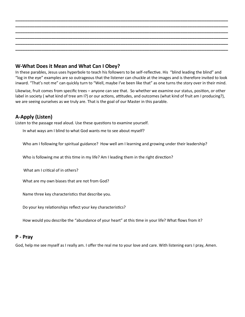## **W-What Does it Mean and What Can I Obey?**

In these parables, Jesus uses hyperbole to teach his followers to be self-reflective. His "blind leading the blind" and "log in the eye" examples are so outrageous that the listener can chuckle at the images and is therefore invited to look inward. "That's not me" can quickly turn to "Well, maybe I've been like that" as one turns the story over in their mind.

**\_\_\_\_\_\_\_\_\_\_\_\_\_\_\_\_\_\_\_\_\_\_\_\_\_\_\_\_\_\_\_\_\_\_\_\_\_\_\_\_\_\_\_\_\_\_\_\_\_\_\_\_\_\_\_\_\_\_\_\_\_\_\_\_\_\_\_\_\_\_\_\_\_\_\_\_\_\_\_\_\_\_\_\_\_\_\_\_\_ \_\_\_\_\_\_\_\_\_\_\_\_\_\_\_\_\_\_\_\_\_\_\_\_\_\_\_\_\_\_\_\_\_\_\_\_\_\_\_\_\_\_\_\_\_\_\_\_\_\_\_\_\_\_\_\_\_\_\_\_\_\_\_\_\_\_\_\_\_\_\_\_\_\_\_\_\_\_\_\_\_\_\_\_\_\_\_\_\_ \_\_\_\_\_\_\_\_\_\_\_\_\_\_\_\_\_\_\_\_\_\_\_\_\_\_\_\_\_\_\_\_\_\_\_\_\_\_\_\_\_\_\_\_\_\_\_\_\_\_\_\_\_\_\_\_\_\_\_\_\_\_\_\_\_\_\_\_\_\_\_\_\_\_\_\_\_\_\_\_\_\_\_\_\_\_\_\_\_ \_\_\_\_\_\_\_\_\_\_\_\_\_\_\_\_\_\_\_\_\_\_\_\_\_\_\_\_\_\_\_\_\_\_\_\_\_\_\_\_\_\_\_\_\_\_\_\_\_\_\_\_\_\_\_\_\_\_\_\_\_\_\_\_\_\_\_\_\_\_\_\_\_\_\_\_\_\_\_\_\_\_\_\_\_\_\_\_\_ \_\_\_\_\_\_\_\_\_\_\_\_\_\_\_\_\_\_\_\_\_\_\_\_\_\_\_\_\_\_\_\_\_\_\_\_\_\_\_\_\_\_\_\_\_\_\_\_\_\_\_\_\_\_\_\_\_\_\_\_\_\_\_\_\_\_\_\_\_\_\_\_\_\_\_\_\_\_\_\_\_\_\_\_\_\_\_\_\_ \_\_\_\_\_\_\_\_\_\_\_\_\_\_\_\_\_\_\_\_\_\_\_\_\_\_\_\_\_\_\_\_\_\_\_\_\_\_\_\_\_\_\_\_\_\_\_\_\_\_\_\_\_\_\_\_\_\_\_\_\_\_\_\_\_\_\_\_\_\_\_\_\_\_\_\_\_\_\_\_\_\_\_\_\_\_\_\_\_**

Likewise, fruit comes from specific trees – anyone can see that. So whether we examine our status, position, or other label in society ( what kind of tree am I?) or our actions, attitudes, and outcomes (what kind of fruit am I producing?), we are seeing ourselves as we truly are. That is the goal of our Master in this parable.

# **A-Apply (Listen)**

Listen to the passage read aloud. Use these questions to examine yourself.

In what ways am I blind to what God wants me to see about myself?

Who am I following for spiritual guidance? How well am I learning and growing under their leadership?

Who is following me at this time in my life? Am I leading them in the right direction?

What am I critical of in others?

What are my own biases that are not from God?

Name three key characteristics that describe you.

Do your key relationships reflect your key characteristics?

How would you describe the "abundance of your heart" at this time in your life? What flows from it?

### **P - Pray**

God, help me see myself as I really am. I offer the real me to your love and care. With listening ears I pray, Amen.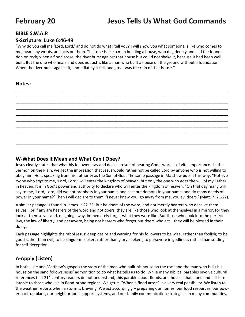# **February 20 Jesus Tells Us What God Commands**

### **BIBLE S.W.A.P.**

### **S-Scripture: Luke 6:46-49**

"Why do you call me 'Lord, Lord,' and do not do what I tell you? I will show you what someone is like who comes to me, hears my words, and acts on them. That one is like a man building a house, who dug deeply and laid the foundation on rock; when a flood arose, the river burst against that house but could not shake it, because it had been well built. But the one who hears and does not act is like a man who built a house on the ground without a foundation. When the river burst against it, immediately it fell, and great was the ruin of that house."

**\_\_\_\_\_\_\_\_\_\_\_\_\_\_\_\_\_\_\_\_\_\_\_\_\_\_\_\_\_\_\_\_\_\_\_\_\_\_\_\_\_\_\_\_\_\_\_\_\_\_\_\_\_\_\_\_\_\_\_\_\_\_\_\_\_\_\_\_\_\_\_\_\_\_\_\_\_\_\_\_\_\_\_\_\_\_\_\_\_ \_\_\_\_\_\_\_\_\_\_\_\_\_\_\_\_\_\_\_\_\_\_\_\_\_\_\_\_\_\_\_\_\_\_\_\_\_\_\_\_\_\_\_\_\_\_\_\_\_\_\_\_\_\_\_\_\_\_\_\_\_\_\_\_\_\_\_\_\_\_\_\_\_\_\_\_\_\_\_\_\_\_\_\_\_\_\_\_\_ \_\_\_\_\_\_\_\_\_\_\_\_\_\_\_\_\_\_\_\_\_\_\_\_\_\_\_\_\_\_\_\_\_\_\_\_\_\_\_\_\_\_\_\_\_\_\_\_\_\_\_\_\_\_\_\_\_\_\_\_\_\_\_\_\_\_\_\_\_\_\_\_\_\_\_\_\_\_\_\_\_\_\_\_\_\_\_\_\_ \_\_\_\_\_\_\_\_\_\_\_\_\_\_\_\_\_\_\_\_\_\_\_\_\_\_\_\_\_\_\_\_\_\_\_\_\_\_\_\_\_\_\_\_\_\_\_\_\_\_\_\_\_\_\_\_\_\_\_\_\_\_\_\_\_\_\_\_\_\_\_\_\_\_\_\_\_\_\_\_\_\_\_\_\_\_\_\_\_ \_\_\_\_\_\_\_\_\_\_\_\_\_\_\_\_\_\_\_\_\_\_\_\_\_\_\_\_\_\_\_\_\_\_\_\_\_\_\_\_\_\_\_\_\_\_\_\_\_\_\_\_\_\_\_\_\_\_\_\_\_\_\_\_\_\_\_\_\_\_\_\_\_\_\_\_\_\_\_\_\_\_\_\_\_\_\_\_\_ \_\_\_\_\_\_\_\_\_\_\_\_\_\_\_\_\_\_\_\_\_\_\_\_\_\_\_\_\_\_\_\_\_\_\_\_\_\_\_\_\_\_\_\_\_\_\_\_\_\_\_\_\_\_\_\_\_\_\_\_\_\_\_\_\_\_\_\_\_\_\_\_\_\_\_\_\_\_\_\_\_\_\_\_\_\_\_\_\_ \_\_\_\_\_\_\_\_\_\_\_\_\_\_\_\_\_\_\_\_\_\_\_\_\_\_\_\_\_\_\_\_\_\_\_\_\_\_\_\_\_\_\_\_\_\_\_\_\_\_\_\_\_\_\_\_\_\_\_\_\_\_\_\_\_\_\_\_\_\_\_\_\_\_\_\_\_\_\_\_\_\_\_\_\_\_\_\_\_ \_\_\_\_\_\_\_\_\_\_\_\_\_\_\_\_\_\_\_\_\_\_\_\_\_\_\_\_\_\_\_\_\_\_\_\_\_\_\_\_\_\_\_\_\_\_\_\_\_\_\_\_\_\_\_\_\_\_\_\_\_\_\_\_\_\_\_\_\_\_\_\_\_\_\_\_\_\_\_\_\_\_\_\_\_\_\_\_\_ \_\_\_\_\_\_\_\_\_\_\_\_\_\_\_\_\_\_\_\_\_\_\_\_\_\_\_\_\_\_\_\_\_\_\_\_\_\_\_\_\_\_\_\_\_\_\_\_\_\_\_\_\_\_\_\_\_\_\_\_\_\_\_\_\_\_\_\_\_\_\_\_\_\_\_\_\_\_\_\_\_\_\_\_\_\_\_\_\_ \_\_\_\_\_\_\_\_\_\_\_\_\_\_\_\_\_\_\_\_\_\_\_\_\_\_\_\_\_\_\_\_\_\_\_\_\_\_\_\_\_\_\_\_\_\_\_\_\_\_\_\_\_\_\_\_\_\_\_\_\_\_\_\_\_\_\_\_\_\_\_\_\_\_\_\_\_\_\_\_\_\_\_\_\_\_\_\_\_**

### **Notes:**

### **W-What Does it Mean and What Can I Obey?**

Jesus clearly states that what his followers say and do as a result of hearing God's word is of vital importance. In the Sermon on the Plain, we get the impression that Jesus would rather not be called Lord by anyone who is not willing to obey him. He is speaking from his authority as the Son of God. The same passage in Matthew puts it this way, "Not everyone who *says* to me, 'Lord, Lord,' will enter the kingdom of heaven, but only the one who *does* the will of my Father in heaven. It is in God's power and authority to declare who will enter the kingdom of heaven. "On that day many will say to me, 'Lord, Lord, did we not prophesy in your name, and cast out demons in your name, and do many deeds of power in your name?' Then I will declare to them, 'I never knew you; go away from me, you evildoers.' (Matt. 7: 21-22).

A similar passage is found in James 1: 22-25. But be doers of the word, and not merely hearers who deceive themselves. For if any are hearers of the word and not doers, they are like those who look at themselves in a mirror; for they look at themselves and, on going away, immediately forget what they were like. But those who look into the perfect law, the law of liberty, and persevere, being not hearers who forget but doers who act—they will be blessed in their doing.

Each passage highlights the rabbi Jesus' deep desire and warning for his followers to be wise, rather than foolish; to be good rather than evil; to be kingdom-seekers rather than glory-seekers, to persevere in godliness rather than settling for self-deception.

# **A-Apply (Listen)**

In both Luke and Matthew's gospels the story of the man who built his house on the rock and the man who built his house on the sand follows Jesus' admonition to do what he tells us to do. While many Biblical parables involve cultural references that 21<sup>st</sup> century readers do not understand, this parable about floods, and houses that stand and fall is relatable to those who live in flood-prone regions. We get it. "When a flood arose" is a very real possibility. We listen to the weather reports when a storm is brewing. We act accordingly – preparing our homes, our food resources, our power back-up plans, our neighborhood support systems, and our family communication strategies. In many communities,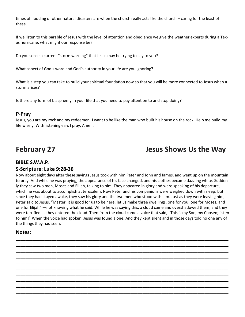times of flooding or other natural disasters are when the church really acts like the church – caring for the least of these.

If we listen to this parable of Jesus with the level of attention and obedience we give the weather experts during a Texas hurricane, what might our response be?

Do you sense a current "storm warning" that Jesus may be trying to say to you?

What aspect of God's word and God's authority in your life are you ignoring?

What is a step you can take to build your spiritual foundation now so that you will be more connected to Jesus when a storm arises?

Is there any form of blasphemy in your life that you need to pay attention to and stop doing?

### **P-Pray**

Jesus, you are my rock and my redeemer. I want to be like the man who built his house on the rock. Help me build my life wisely. With listening ears I pray, Amen.

# **February 27 Jesus Shows Us the Way**

### **BIBLE S.W.A.P.**

### **S-Scripture: Luke 9:28-36**

Now about eight days after these sayings Jesus took with him Peter and John and James, and went up on the mountain to pray. And while he was praying, the appearance of his face changed, and his clothes became dazzling white. Suddenly they saw two men, Moses and Elijah, talking to him. They appeared in glory and were speaking of his departure, which he was about to accomplish at Jerusalem. Now Peter and his companions were weighed down with sleep; but since they had stayed awake, they saw his glory and the two men who stood with him. Just as they were leaving him, Peter said to Jesus, "Master, it is good for us to be here; let us make three dwellings, one for you, one for Moses, and one for Elijah" —not knowing what he said. While he was saying this, a cloud came and overshadowed them; and they were terrified as they entered the cloud. Then from the cloud came a voice that said, "This is my Son, my Chosen; listen to him!" When the voice had spoken, Jesus was found alone. And they kept silent and in those days told no one any of the things they had seen.

**\_\_\_\_\_\_\_\_\_\_\_\_\_\_\_\_\_\_\_\_\_\_\_\_\_\_\_\_\_\_\_\_\_\_\_\_\_\_\_\_\_\_\_\_\_\_\_\_\_\_\_\_\_\_\_\_\_\_\_\_\_\_\_\_\_\_\_\_\_\_\_\_\_\_\_\_\_\_\_\_\_\_\_\_\_\_\_\_\_ \_\_\_\_\_\_\_\_\_\_\_\_\_\_\_\_\_\_\_\_\_\_\_\_\_\_\_\_\_\_\_\_\_\_\_\_\_\_\_\_\_\_\_\_\_\_\_\_\_\_\_\_\_\_\_\_\_\_\_\_\_\_\_\_\_\_\_\_\_\_\_\_\_\_\_\_\_\_\_\_\_\_\_\_\_\_\_\_\_ \_\_\_\_\_\_\_\_\_\_\_\_\_\_\_\_\_\_\_\_\_\_\_\_\_\_\_\_\_\_\_\_\_\_\_\_\_\_\_\_\_\_\_\_\_\_\_\_\_\_\_\_\_\_\_\_\_\_\_\_\_\_\_\_\_\_\_\_\_\_\_\_\_\_\_\_\_\_\_\_\_\_\_\_\_\_\_\_\_ \_\_\_\_\_\_\_\_\_\_\_\_\_\_\_\_\_\_\_\_\_\_\_\_\_\_\_\_\_\_\_\_\_\_\_\_\_\_\_\_\_\_\_\_\_\_\_\_\_\_\_\_\_\_\_\_\_\_\_\_\_\_\_\_\_\_\_\_\_\_\_\_\_\_\_\_\_\_\_\_\_\_\_\_\_\_\_\_\_ \_\_\_\_\_\_\_\_\_\_\_\_\_\_\_\_\_\_\_\_\_\_\_\_\_\_\_\_\_\_\_\_\_\_\_\_\_\_\_\_\_\_\_\_\_\_\_\_\_\_\_\_\_\_\_\_\_\_\_\_\_\_\_\_\_\_\_\_\_\_\_\_\_\_\_\_\_\_\_\_\_\_\_\_\_\_\_\_\_ \_\_\_\_\_\_\_\_\_\_\_\_\_\_\_\_\_\_\_\_\_\_\_\_\_\_\_\_\_\_\_\_\_\_\_\_\_\_\_\_\_\_\_\_\_\_\_\_\_\_\_\_\_\_\_\_\_\_\_\_\_\_\_\_\_\_\_\_\_\_\_\_\_\_\_\_\_\_\_\_\_\_\_\_\_\_\_\_\_ \_\_\_\_\_\_\_\_\_\_\_\_\_\_\_\_\_\_\_\_\_\_\_\_\_\_\_\_\_\_\_\_\_\_\_\_\_\_\_\_\_\_\_\_\_\_\_\_\_\_\_\_\_\_\_\_\_\_\_\_\_\_\_\_\_\_\_\_\_\_\_\_\_\_\_\_\_\_\_\_\_\_\_\_\_\_\_\_\_ \_\_\_\_\_\_\_\_\_\_\_\_\_\_\_\_\_\_\_\_\_\_\_\_\_\_\_\_\_\_\_\_\_\_\_\_\_\_\_\_\_\_\_\_\_\_\_\_\_\_\_\_\_\_\_\_\_\_\_\_\_\_\_\_\_\_\_\_\_\_\_\_\_\_\_\_\_\_\_\_\_\_\_\_\_\_\_\_\_ \_\_\_\_\_\_\_\_\_\_\_\_\_\_\_\_\_\_\_\_\_\_\_\_\_\_\_\_\_\_\_\_\_\_\_\_\_\_\_\_\_\_\_\_\_\_\_\_\_\_\_\_\_\_\_\_\_\_\_\_\_\_\_\_\_\_\_\_\_\_\_\_\_\_\_\_\_\_\_\_\_\_\_\_\_\_\_\_\_ \_\_\_\_\_\_\_\_\_\_\_\_\_\_\_\_\_\_\_\_\_\_\_\_\_\_\_\_\_\_\_\_\_\_\_\_\_\_\_\_\_\_\_\_\_\_\_\_\_\_\_\_\_\_\_\_\_\_\_\_\_\_\_\_\_\_\_\_\_\_\_\_\_\_\_\_\_\_\_\_\_\_\_\_\_\_\_\_\_**

### **Notes:**